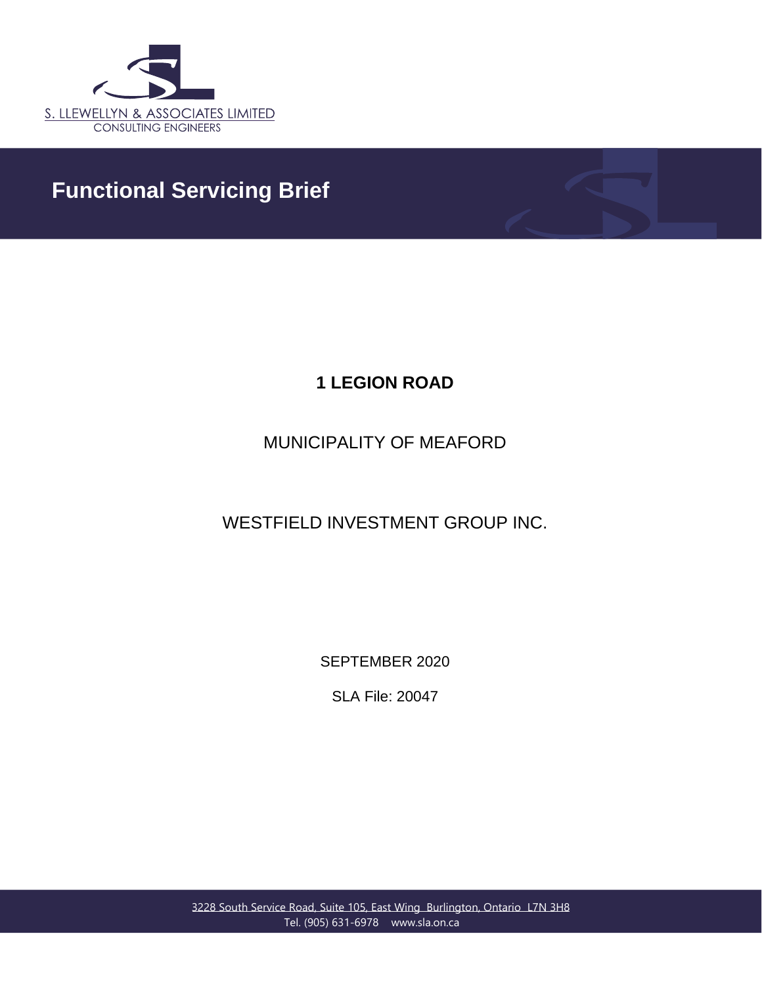

## **Functional Servicing Brief**

## **1 LEGION ROAD**

## MUNICIPALITY OF MEAFORD

WESTFIELD INVESTMENT GROUP INC.

SEPTEMBER 2020

SLA File: 20047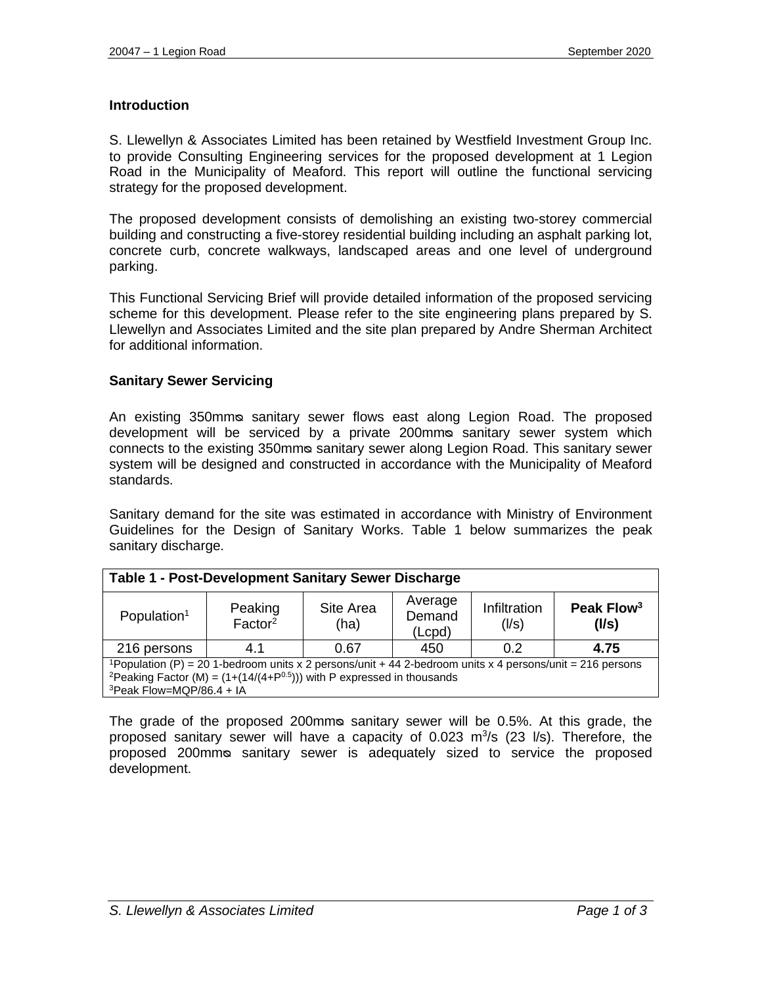#### **Introduction**

S. Llewellyn & Associates Limited has been retained by Westfield Investment Group Inc. to provide Consulting Engineering services for the proposed development at 1 Legion Road in the Municipality of Meaford. This report will outline the functional servicing strategy for the proposed development.

The proposed development consists of demolishing an existing two-storey commercial building and constructing a five-storey residential building including an asphalt parking lot, concrete curb, concrete walkways, landscaped areas and one level of underground parking.

This Functional Servicing Brief will provide detailed information of the proposed servicing scheme for this development. Please refer to the site engineering plans prepared by S. Llewellyn and Associates Limited and the site plan prepared by Andre Sherman Architect for additional information.

#### **Sanitary Sewer Servicing**

An existing 350mm® sanitary sewer flows east along Legion Road. The proposed development will be serviced by a private 200mmᴓ sanitary sewer system which connects to the existing 350mmo sanitary sewer along Legion Road. This sanitary sewer system will be designed and constructed in accordance with the Municipality of Meaford standards.

Sanitary demand for the site was estimated in accordance with Ministry of Environment Guidelines for the Design of Sanitary Works. Table 1 below summarizes the peak sanitary discharge.

| <b>Table 1 - Post-Development Sanitary Sewer Discharge</b>                                                                                                                                                   |                                |                   |                             |                       |                                 |  |  |
|--------------------------------------------------------------------------------------------------------------------------------------------------------------------------------------------------------------|--------------------------------|-------------------|-----------------------------|-----------------------|---------------------------------|--|--|
| Population <sup>1</sup>                                                                                                                                                                                      | Peaking<br>Factor <sup>2</sup> | Site Area<br>(ha) | Average<br>Demand<br>(Lcpd) | Infiltration<br>(1/s) | Peak Flow <sup>3</sup><br>(1/s) |  |  |
| 216 persons                                                                                                                                                                                                  | 4.1                            | 0.67              | 450                         | 0.2                   | 4.75                            |  |  |
| <sup>1</sup> Population (P) = 20 1-bedroom units x 2 persons/unit + 44 2-bedroom units x 4 persons/unit = 216 persons<br><sup>2</sup> Peaking Factor (M) = $(1+(14/(4+P0.5)))$ with P expressed in thousands |                                |                   |                             |                       |                                 |  |  |

 $3$ Peak Flow=MQP/86.4 + IA

The grade of the proposed 200mms sanitary sewer will be 0.5%. At this grade, the proposed sanitary sewer will have a capacity of  $0.023$  m $3/s$  (23 l/s). Therefore, the proposed 200mmᴓ sanitary sewer is adequately sized to service the proposed development.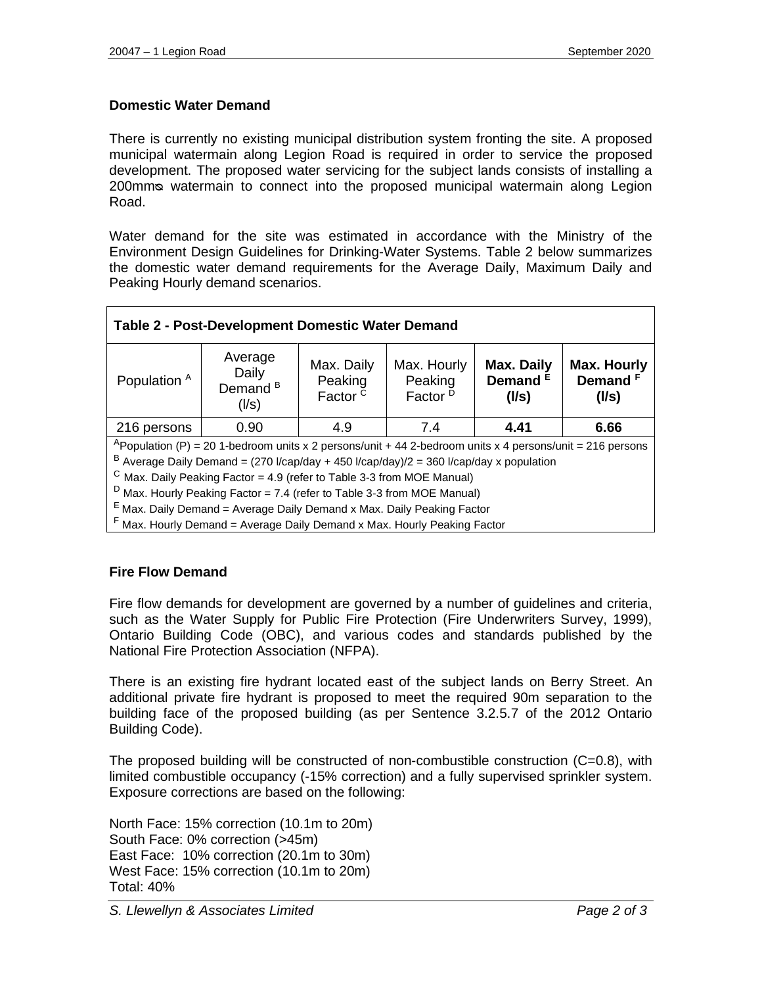### **Domestic Water Demand**

There is currently no existing municipal distribution system fronting the site. A proposed municipal watermain along Legion Road is required in order to service the proposed development. The proposed water servicing for the subject lands consists of installing a 200mmᴓ watermain to connect into the proposed municipal watermain along Legion Road.

Water demand for the site was estimated in accordance with the Ministry of the Environment Design Guidelines for Drinking-Water Systems. Table 2 below summarizes the domestic water demand requirements for the Average Daily, Maximum Daily and Peaking Hourly demand scenarios.

| Table 2 - Post-Development Domestic Water Demand                                          |                                                                                                                       |                                              |                                               |                                   |                                                    |  |  |  |
|-------------------------------------------------------------------------------------------|-----------------------------------------------------------------------------------------------------------------------|----------------------------------------------|-----------------------------------------------|-----------------------------------|----------------------------------------------------|--|--|--|
| Population <sup>A</sup>                                                                   | Average<br>Daily<br>Demand <sup>B</sup><br>(1/s)                                                                      | Max. Daily<br>Peaking<br>Factor <sup>c</sup> | Max. Hourly<br>Peaking<br>Factor <sup>D</sup> | Max. Daily<br>Demand $E$<br>(1/s) | <b>Max. Hourly</b><br>Demand <sup>F</sup><br>(1/s) |  |  |  |
| 216 persons                                                                               | 0.90                                                                                                                  | 4.9                                          | 7.4                                           | 4.41                              | 6.66                                               |  |  |  |
|                                                                                           | <sup>A</sup> Population (P) = 20 1-bedroom units x 2 persons/unit + 44 2-bedroom units x 4 persons/unit = 216 persons |                                              |                                               |                                   |                                                    |  |  |  |
| $B$ Average Daily Demand = (270 l/cap/day + 450 l/cap/day)/2 = 360 l/cap/day x population |                                                                                                                       |                                              |                                               |                                   |                                                    |  |  |  |
| $\textdegree$ Max. Daily Peaking Factor = 4.9 (refer to Table 3-3 from MOE Manual)        |                                                                                                                       |                                              |                                               |                                   |                                                    |  |  |  |
| $D$ Max. Hourly Peaking Factor = 7.4 (refer to Table 3-3 from MOE Manual)                 |                                                                                                                       |                                              |                                               |                                   |                                                    |  |  |  |
| <sup>E</sup> Max. Daily Demand = Average Daily Demand x Max. Daily Peaking Factor         |                                                                                                                       |                                              |                                               |                                   |                                                    |  |  |  |
| F Max. Hourly Demand = Average Daily Demand x Max. Hourly Peaking Factor                  |                                                                                                                       |                                              |                                               |                                   |                                                    |  |  |  |

#### **Fire Flow Demand**

Fire flow demands for development are governed by a number of guidelines and criteria, such as the Water Supply for Public Fire Protection (Fire Underwriters Survey, 1999), Ontario Building Code (OBC), and various codes and standards published by the National Fire Protection Association (NFPA).

There is an existing fire hydrant located east of the subject lands on Berry Street. An additional private fire hydrant is proposed to meet the required 90m separation to the building face of the proposed building (as per Sentence 3.2.5.7 of the 2012 Ontario Building Code).

The proposed building will be constructed of non-combustible construction  $(C=0.8)$ , with limited combustible occupancy (-15% correction) and a fully supervised sprinkler system. Exposure corrections are based on the following:

North Face: 15% correction (10.1m to 20m) South Face: 0% correction (>45m) East Face: 10% correction (20.1m to 30m) West Face: 15% correction (10.1m to 20m) Total: 40%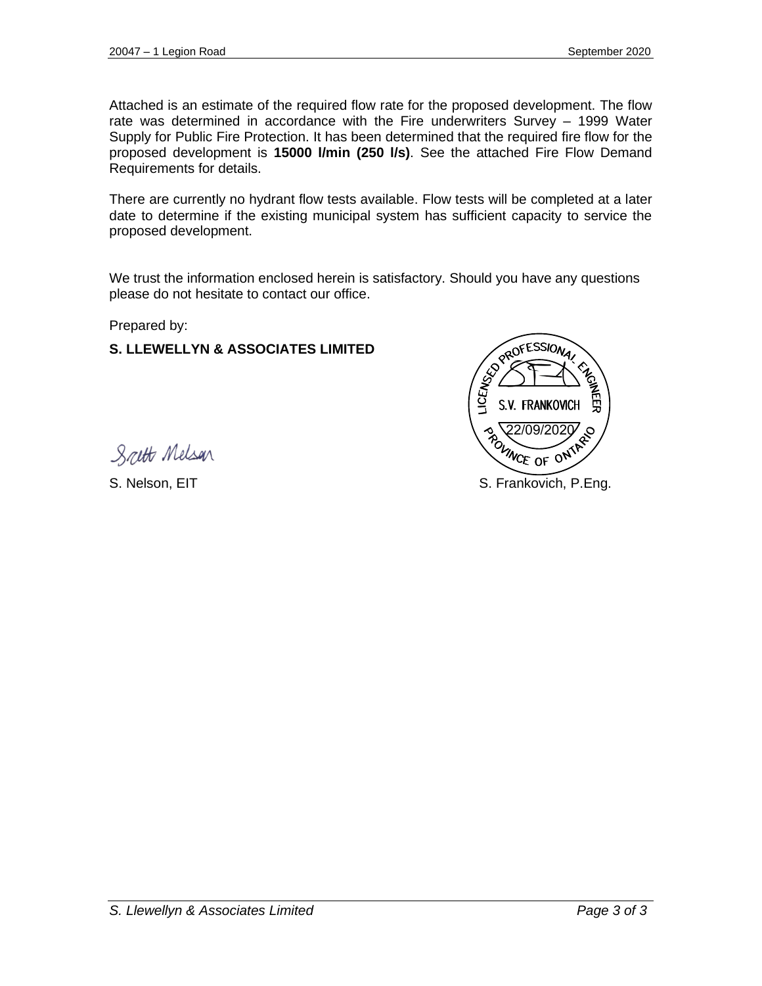Attached is an estimate of the required flow rate for the proposed development. The flow rate was determined in accordance with the Fire underwriters Survey – 1999 Water Supply for Public Fire Protection. It has been determined that the required fire flow for the proposed development is **15000 l/min (250 l/s)**. See the attached Fire Flow Demand Requirements for details.

There are currently no hydrant flow tests available. Flow tests will be completed at a later date to determine if the existing municipal system has sufficient capacity to service the proposed development.

We trust the information enclosed herein is satisfactory. Should you have any questions please do not hesitate to contact our office.

Prepared by:

#### **S. LLEWELLYN & ASSOCIATES LIMITED**



Scett Melson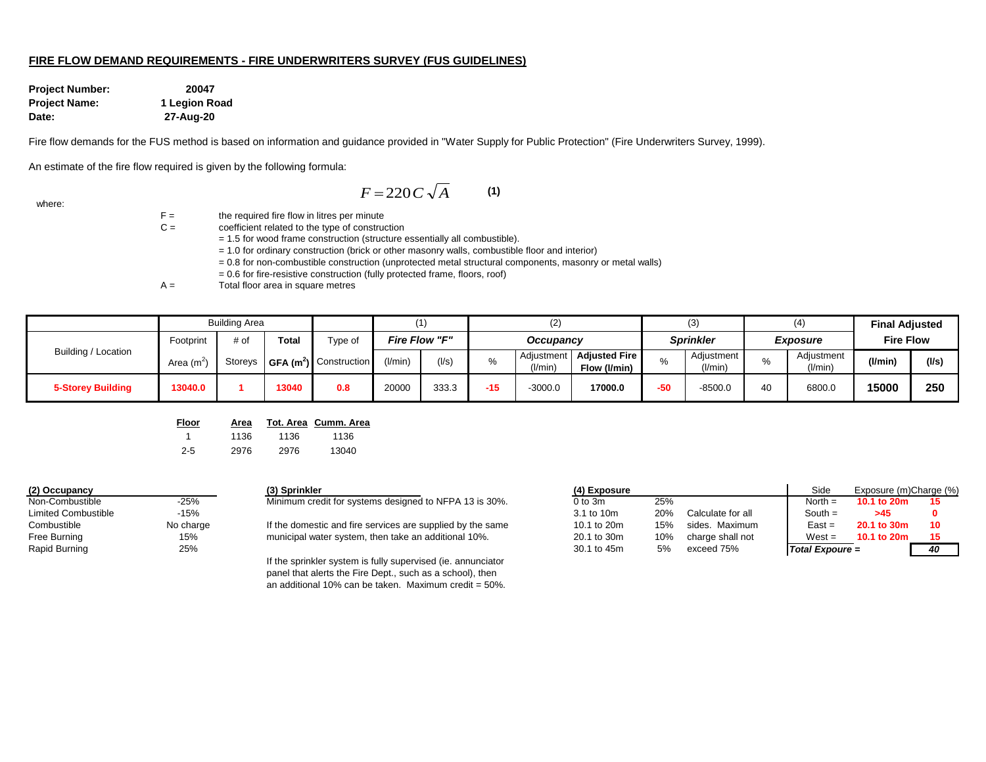#### **FIRE FLOW DEMAND REQUIREMENTS - FIRE UNDERWRITERS SURVEY (FUS GUIDELINES)**

**Project Number: 20047 Project Name: 1 Legion Road Date: 27-Aug-20**

Fire flow demands for the FUS method is based on information and guidance provided in "Water Supply for Public Protection" (Fire Underwriters Survey, 1999).

An estimate of the fire flow required is given by the following formula:

$$
F = 220 C \sqrt{A} \tag{1}
$$

where:

 $F =$  the required fire flow in litres per minute

- C = coefficient related to the type of construction
	- = 1.5 for wood frame construction (structure essentially all combustible).
	- = 1.0 for ordinary construction (brick or other masonry walls, combustible floor and interior)
	- = 0.8 for non-combustible construction (unprotected metal structural components, masonry or metal walls)
	- = 0.6 for fire-resistive construction (fully protected frame, floors, roof)

 $A =$  Total floor area in square metres

|                          |                       | <b>Building Area</b> |       |                                                |                            |       |                              | (2)                     |                                      |     | (3)                   |           | (4)                              | <b>Final Adjusted</b> |             |
|--------------------------|-----------------------|----------------------|-------|------------------------------------------------|----------------------------|-------|------------------------------|-------------------------|--------------------------------------|-----|-----------------------|-----------|----------------------------------|-----------------------|-------------|
|                          | Footprint             | # of                 | Total | vpe of                                         | Fire Flow "F"<br>Occupancy |       | Sprinkler<br><b>Exposure</b> |                         | <b>Fire Flow</b>                     |     |                       |           |                                  |                       |             |
| Building / Location      | Area (m <sup>21</sup> |                      |       | Storeys   GFA (m <sup>2</sup> )   Construction | (1/min)                    | (1/s) | %                            | Adjustment I<br>(I/min) | <b>Adjusted Fire</b><br>Flow (I/min) |     | Adjustment<br>(I/min) |           | Adjustment<br>$^{\prime}$ l/min) | (l/min                | $($ l/s $)$ |
| <b>5-Storey Building</b> | 13040.0               |                      | 13040 | 0.8                                            | 20000                      | 333.3 | -15                          | $-3000.0$               | 17000.0                              | -50 | $-8500.0$             | $\Lambda$ | 6800.0                           | 15000                 | 250         |

| <u>Floor</u> | Area |      | Tot. Area Cumm. Area |
|--------------|------|------|----------------------|
|              | 1136 | 1136 | 1136                 |
| $2 - 5$      | 2976 | 2976 | 13040                |

| (2) Occupancy              |           |
|----------------------------|-----------|
| Non-Combustible            | $-25%$    |
| <b>Limited Combustible</b> | $-15%$    |
| Combustible                | No charge |
| <b>Free Burning</b>        | 15%       |
| Rapid Burning              | 25%       |

# Minimum credit for systems designed to NFPA 13 is 30%.

If the sprinkler system is fully supervised (ie. annunciator panel that alerts the Fire Dept., such as a school), then an additional 10% can be taken. Maximum credit =  $50\%$ .

| (2) Occupancy       |           | (3) Sprinkler                                              | (4) Exposure |     |                   | Side            | Exposure (m)Charge (%) |    |  |
|---------------------|-----------|------------------------------------------------------------|--------------|-----|-------------------|-----------------|------------------------|----|--|
| Non-Combustible     | $-25%$    | Minimum credit for systems designed to NFPA 13 is 30%.     | $0$ to $3m$  | 25% |                   | North $=$       | 10.1 to 20m            |    |  |
| Limited Combustible | $-15%$    |                                                            | 3.1 to 10m   | 20% | Calculate for all | South $=$       | >45                    |    |  |
| Combustible         | No charge | If the domestic and fire services are supplied by the same | 10.1 to 20m  | 15% | sides. Maximum    | East =          | 20.1 to 30m            | 10 |  |
| Free Burning        | 15%       | municipal water system, then take an additional 10%.       | 20.1 to 30m  | 10% | charge shall not  | $West =$        | 10.1 to 20m            |    |  |
| Rapid Burning       | 25%       |                                                            | 30.1 to 45m  | 5%  | exceed 75%        | Total Expoure = |                        | 40 |  |